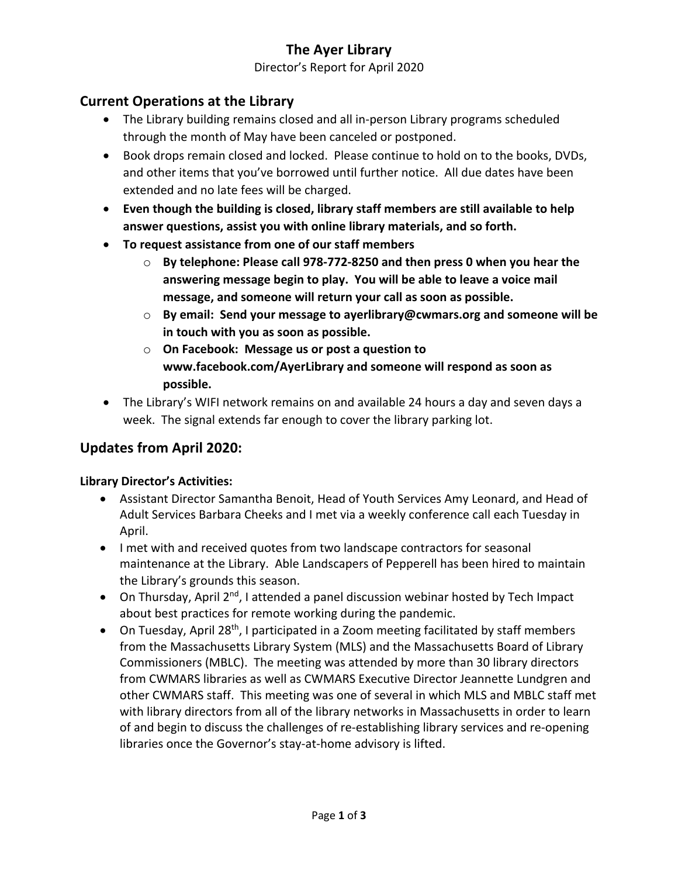# **The Ayer Library**

### Director's Report for April 2020

### **Current Operations at the Library**

- The Library building remains closed and all in-person Library programs scheduled through the month of May have been canceled or postponed.
- Book drops remain closed and locked. Please continue to hold on to the books, DVDs, and other items that you've borrowed until further notice. All due dates have been extended and no late fees will be charged.
- **Even though the building is closed, library staff members are still available to help answer questions, assist you with online library materials, and so forth.**
- **To request assistance from one of our staff members**
	- o **By telephone: Please call 978-772-8250 and then press 0 when you hear the answering message begin to play. You will be able to leave a voice mail message, and someone will return your call as soon as possible.**
	- o **By email: Send your message to ayerlibrary@cwmars.org and someone will be in touch with you as soon as possible.**
	- o **On Facebook: Message us or post a question to www.facebook.com/AyerLibrary and someone will respond as soon as possible.**
- The Library's WIFI network remains on and available 24 hours a day and seven days a week. The signal extends far enough to cover the library parking lot.

### **Updates from April 2020:**

### **Library Director's Activities:**

- Assistant Director Samantha Benoit, Head of Youth Services Amy Leonard, and Head of Adult Services Barbara Cheeks and I met via a weekly conference call each Tuesday in April.
- I met with and received quotes from two landscape contractors for seasonal maintenance at the Library. Able Landscapers of Pepperell has been hired to maintain the Library's grounds this season.
- On Thursday, April  $2^{nd}$ , I attended a panel discussion webinar hosted by Tech Impact about best practices for remote working during the pandemic.
- On Tuesday, April 28<sup>th</sup>, I participated in a Zoom meeting facilitated by staff members from the Massachusetts Library System (MLS) and the Massachusetts Board of Library Commissioners (MBLC). The meeting was attended by more than 30 library directors from CWMARS libraries as well as CWMARS Executive Director Jeannette Lundgren and other CWMARS staff. This meeting was one of several in which MLS and MBLC staff met with library directors from all of the library networks in Massachusetts in order to learn of and begin to discuss the challenges of re-establishing library services and re-opening libraries once the Governor's stay-at-home advisory is lifted.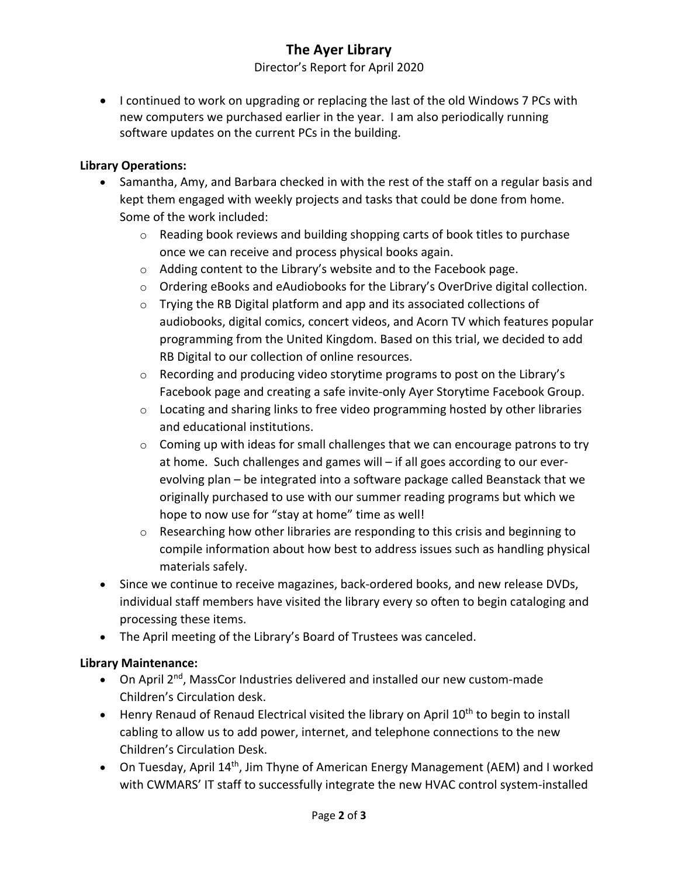# **The Ayer Library**

### Director's Report for April 2020

• I continued to work on upgrading or replacing the last of the old Windows 7 PCs with new computers we purchased earlier in the year. I am also periodically running software updates on the current PCs in the building.

### **Library Operations:**

- Samantha, Amy, and Barbara checked in with the rest of the staff on a regular basis and kept them engaged with weekly projects and tasks that could be done from home. Some of the work included:
	- $\circ$  Reading book reviews and building shopping carts of book titles to purchase once we can receive and process physical books again.
	- o Adding content to the Library's website and to the Facebook page.
	- o Ordering eBooks and eAudiobooks for the Library's OverDrive digital collection.
	- o Trying the RB Digital platform and app and its associated collections of audiobooks, digital comics, concert videos, and Acorn TV which features popular programming from the United Kingdom. Based on this trial, we decided to add RB Digital to our collection of online resources.
	- o Recording and producing video storytime programs to post on the Library's Facebook page and creating a safe invite-only Ayer Storytime Facebook Group.
	- $\circ$  Locating and sharing links to free video programming hosted by other libraries and educational institutions.
	- o Coming up with ideas for small challenges that we can encourage patrons to try at home. Such challenges and games will – if all goes according to our everevolving plan – be integrated into a software package called Beanstack that we originally purchased to use with our summer reading programs but which we hope to now use for "stay at home" time as well!
	- o Researching how other libraries are responding to this crisis and beginning to compile information about how best to address issues such as handling physical materials safely.
- Since we continue to receive magazines, back-ordered books, and new release DVDs, individual staff members have visited the library every so often to begin cataloging and processing these items.
- The April meeting of the Library's Board of Trustees was canceled.

### **Library Maintenance:**

- On April  $2^{nd}$ , MassCor Industries delivered and installed our new custom-made Children's Circulation desk.
- Henry Renaud of Renaud Electrical visited the library on April  $10<sup>th</sup>$  to begin to install cabling to allow us to add power, internet, and telephone connections to the new Children's Circulation Desk.
- On Tuesday, April 14<sup>th</sup>, Jim Thyne of American Energy Management (AEM) and I worked with CWMARS' IT staff to successfully integrate the new HVAC control system-installed